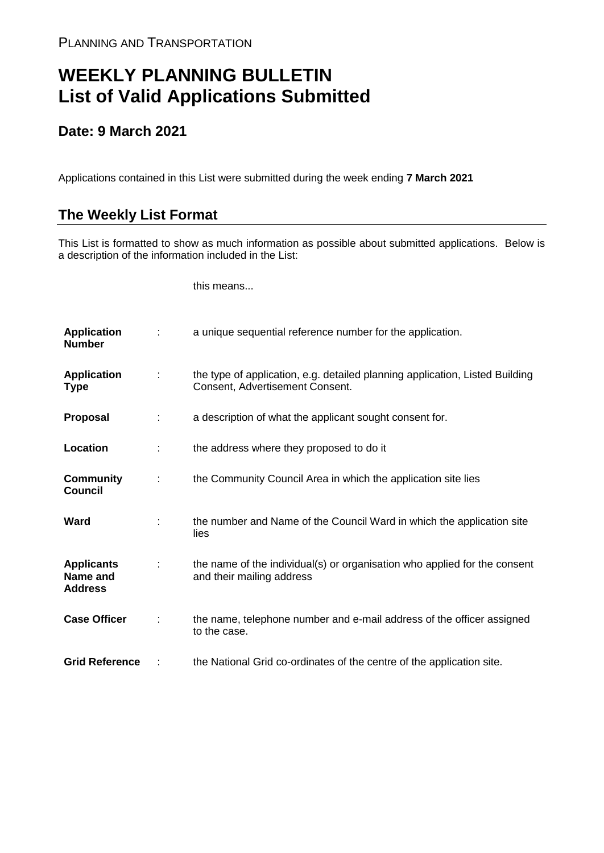## **WEEKLY PLANNING BULLETIN List of Valid Applications Submitted**

## **Date: 9 March 2021**

Applications contained in this List were submitted during the week ending **7 March 2021**

## **The Weekly List Format**

This List is formatted to show as much information as possible about submitted applications. Below is a description of the information included in the List:

this means...

| <b>Application</b><br><b>Number</b>             |   | a unique sequential reference number for the application.                                                       |
|-------------------------------------------------|---|-----------------------------------------------------------------------------------------------------------------|
| <b>Application</b><br>Type                      | ÷ | the type of application, e.g. detailed planning application, Listed Building<br>Consent, Advertisement Consent. |
| <b>Proposal</b>                                 | ÷ | a description of what the applicant sought consent for.                                                         |
| Location                                        |   | the address where they proposed to do it                                                                        |
| <b>Community</b><br><b>Council</b>              | ÷ | the Community Council Area in which the application site lies                                                   |
| Ward                                            |   | the number and Name of the Council Ward in which the application site<br>lies                                   |
| <b>Applicants</b><br>Name and<br><b>Address</b> |   | the name of the individual(s) or organisation who applied for the consent<br>and their mailing address          |
| <b>Case Officer</b>                             |   | the name, telephone number and e-mail address of the officer assigned<br>to the case.                           |
| <b>Grid Reference</b>                           |   | the National Grid co-ordinates of the centre of the application site.                                           |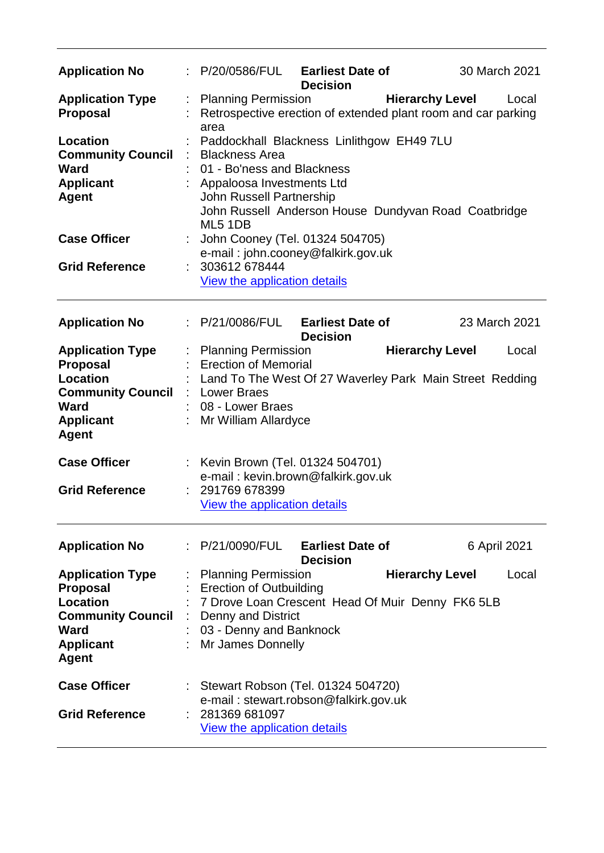| <b>Application No</b>                                                                                                                        | : P/20/0586/FUL Earliest Date of                                                                                                          | <b>Decision</b>                                                                                                                                                                                                                            | 30 March 2021                                                                                    |  |  |
|----------------------------------------------------------------------------------------------------------------------------------------------|-------------------------------------------------------------------------------------------------------------------------------------------|--------------------------------------------------------------------------------------------------------------------------------------------------------------------------------------------------------------------------------------------|--------------------------------------------------------------------------------------------------|--|--|
| <b>Application Type</b><br><b>Proposal</b>                                                                                                   | <b>Planning Permission</b>                                                                                                                |                                                                                                                                                                                                                                            | <b>Hierarchy Level</b><br>Local<br>Retrospective erection of extended plant room and car parking |  |  |
| Location<br><b>Community Council</b><br><b>Ward</b><br><b>Applicant</b><br><b>Agent</b>                                                      | <b>Blackness Area</b><br>ML5 1DB                                                                                                          | area<br>Paddockhall Blackness Linlithgow EH49 7LU<br>01 - Bo'ness and Blackness<br>Appaloosa Investments Ltd<br><b>John Russell Partnership</b><br>John Russell Anderson House Dundyvan Road Coatbridge<br>John Cooney (Tel. 01324 504705) |                                                                                                  |  |  |
| <b>Case Officer</b><br><b>Grid Reference</b>                                                                                                 | e-mail: john.cooney@falkirk.gov.uk<br>303612 678444<br>÷.<br>View the application details                                                 |                                                                                                                                                                                                                                            |                                                                                                  |  |  |
| <b>Application No</b>                                                                                                                        | P/21/0086/FUL                                                                                                                             | <b>Earliest Date of</b><br><b>Decision</b>                                                                                                                                                                                                 | 23 March 2021                                                                                    |  |  |
| <b>Application Type</b><br><b>Proposal</b><br><b>Location</b><br><b>Community Council</b><br><b>Ward</b><br><b>Applicant</b><br><b>Agent</b> | : Planning Permission<br><b>Erection of Memorial</b><br><b>Lower Braes</b><br>08 - Lower Braes<br>Mr William Allardyce                    |                                                                                                                                                                                                                                            | <b>Hierarchy Level</b><br>Local<br>Land To The West Of 27 Waverley Park Main Street Redding      |  |  |
| <b>Case Officer</b>                                                                                                                          | Kevin Brown (Tel. 01324 504701)<br>e-mail: kevin.brown@falkirk.gov.uk                                                                     |                                                                                                                                                                                                                                            |                                                                                                  |  |  |
| <b>Grid Reference</b>                                                                                                                        | 291769 678399<br>View the application details                                                                                             |                                                                                                                                                                                                                                            |                                                                                                  |  |  |
| <b>Application No</b>                                                                                                                        | : P/21/0090/FUL                                                                                                                           | <b>Earliest Date of</b><br><b>Decision</b>                                                                                                                                                                                                 | 6 April 2021                                                                                     |  |  |
| <b>Application Type</b><br><b>Proposal</b><br>Location<br><b>Community Council</b><br><b>Ward</b><br><b>Applicant</b><br><b>Agent</b>        | <b>Planning Permission</b><br><b>Erection of Outbuilding</b><br><b>Denny and District</b><br>03 - Denny and Banknock<br>Mr James Donnelly | 7 Drove Loan Crescent Head Of Muir Denny FK6 5LB                                                                                                                                                                                           | <b>Hierarchy Level</b><br>Local                                                                  |  |  |
| <b>Case Officer</b><br><b>Grid Reference</b>                                                                                                 | 281369 681097<br>View the application details                                                                                             | Stewart Robson (Tel. 01324 504720)<br>e-mail: stewart.robson@falkirk.gov.uk                                                                                                                                                                |                                                                                                  |  |  |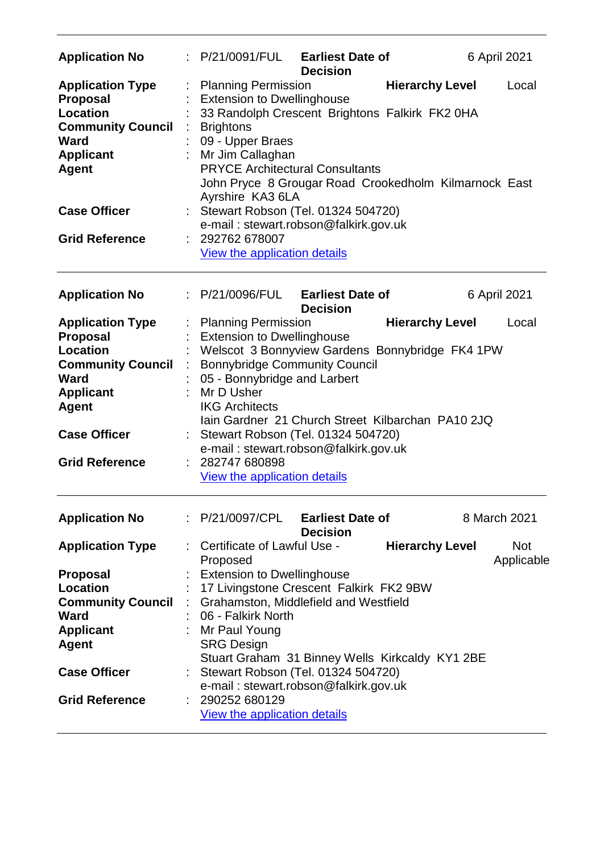| <b>Application No</b>                                                                                                                                                                        |                                                                                                                                                                                                  | P/21/0091/FUL Earliest Date of<br><b>Decision</b>                                                                                                                                                                           |                        | 6 April 2021             |
|----------------------------------------------------------------------------------------------------------------------------------------------------------------------------------------------|--------------------------------------------------------------------------------------------------------------------------------------------------------------------------------------------------|-----------------------------------------------------------------------------------------------------------------------------------------------------------------------------------------------------------------------------|------------------------|--------------------------|
| <b>Application Type</b><br><b>Proposal</b><br><b>Location</b><br><b>Community Council</b><br><b>Ward</b><br><b>Applicant</b><br><b>Agent</b>                                                 | <b>Planning Permission</b><br><b>Extension to Dwellinghouse</b><br><b>Brightons</b><br>09 - Upper Braes<br>Mr Jim Callaghan<br>Ayrshire KA3 6LA                                                  | 33 Randolph Crescent Brightons Falkirk FK2 0HA<br><b>PRYCE Architectural Consultants</b><br>John Pryce 8 Grougar Road Crookedholm Kilmarnock East                                                                           | <b>Hierarchy Level</b> | Local                    |
| <b>Case Officer</b><br><b>Grid Reference</b>                                                                                                                                                 | 292762 678007<br>View the application details                                                                                                                                                    | Stewart Robson (Tel. 01324 504720)<br>e-mail: stewart.robson@falkirk.gov.uk                                                                                                                                                 |                        |                          |
|                                                                                                                                                                                              |                                                                                                                                                                                                  |                                                                                                                                                                                                                             |                        |                          |
| <b>Application No</b>                                                                                                                                                                        | : P/21/0096/FUL                                                                                                                                                                                  | <b>Earliest Date of</b><br><b>Decision</b>                                                                                                                                                                                  |                        | 6 April 2021             |
| <b>Application Type</b><br><b>Proposal</b><br><b>Location</b><br><b>Community Council</b><br><b>Ward</b><br><b>Applicant</b><br><b>Agent</b><br><b>Case Officer</b><br><b>Grid Reference</b> | <b>Planning Permission</b><br><b>Extension to Dwellinghouse</b><br>05 - Bonnybridge and Larbert<br>Mr D Usher<br><b>IKG Architects</b><br>282747 680898<br><b>View the application details</b>   | Welscot 3 Bonnyview Gardens Bonnybridge FK4 1PW<br><b>Bonnybridge Community Council</b><br>Jain Gardner 21 Church Street Kilbarchan PA10 2JQ<br>Stewart Robson (Tel. 01324 504720)<br>e-mail: stewart.robson@falkirk.gov.uk | <b>Hierarchy Level</b> | Local                    |
| <b>Application No</b>                                                                                                                                                                        |                                                                                                                                                                                                  | P/21/0097/CPL Earliest Date of<br><b>Decision</b>                                                                                                                                                                           |                        | 8 March 2021             |
| <b>Application Type</b><br><b>Proposal</b><br><b>Location</b><br><b>Community Council</b><br><b>Ward</b><br><b>Applicant</b><br><b>Agent</b><br><b>Case Officer</b><br><b>Grid Reference</b> | Certificate of Lawful Use -<br>Proposed<br><b>Extension to Dwellinghouse</b><br>06 - Falkirk North<br>Mr Paul Young<br><b>SRG Design</b><br>290252 680129<br><b>View the application details</b> | 17 Livingstone Crescent Falkirk FK2 9BW<br>Grahamston, Middlefield and Westfield<br>Stuart Graham 31 Binney Wells Kirkcaldy KY1 2BE<br>Stewart Robson (Tel. 01324 504720)<br>e-mail: stewart.robson@falkirk.gov.uk          | <b>Hierarchy Level</b> | <b>Not</b><br>Applicable |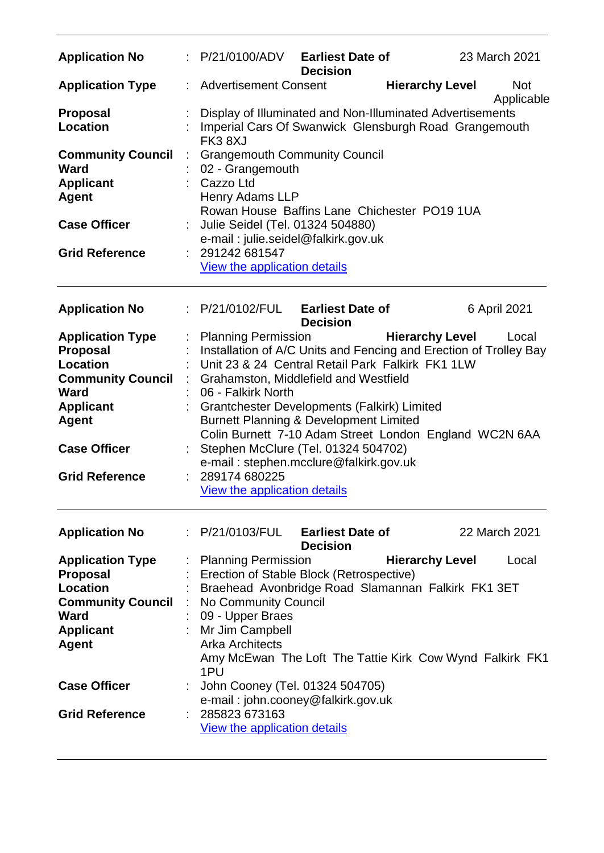| <b>Application No</b>                                                       |    | P/21/0100/ADV                                                                                                                                                     | <b>Earliest Date of</b><br><b>Decision</b> |                        | 23 March 2021            |
|-----------------------------------------------------------------------------|----|-------------------------------------------------------------------------------------------------------------------------------------------------------------------|--------------------------------------------|------------------------|--------------------------|
| <b>Application Type</b>                                                     | ÷. | <b>Advertisement Consent</b>                                                                                                                                      |                                            | <b>Hierarchy Level</b> | <b>Not</b><br>Applicable |
| <b>Proposal</b><br><b>Location</b>                                          |    | Display of Illuminated and Non-Illuminated Advertisements<br>Imperial Cars Of Swanwick Glensburgh Road Grangemouth<br>FK38XJ                                      |                                            |                        |                          |
| <b>Community Council</b><br><b>Ward</b><br><b>Applicant</b><br><b>Agent</b> |    | <b>Grangemouth Community Council</b><br>02 - Grangemouth<br>Cazzo Ltd<br><b>Henry Adams LLP</b><br>Rowan House Baffins Lane Chichester PO19 1UA                   |                                            |                        |                          |
| <b>Case Officer</b>                                                         |    | Julie Seidel (Tel. 01324 504880)<br>e-mail: julie.seidel@falkirk.gov.uk                                                                                           |                                            |                        |                          |
| <b>Grid Reference</b>                                                       |    | 291242 681547<br>View the application details                                                                                                                     |                                            |                        |                          |
| <b>Application No</b>                                                       |    | P/21/0102/FUL                                                                                                                                                     | <b>Earliest Date of</b><br><b>Decision</b> |                        | 6 April 2021             |
| <b>Application Type</b><br>Proposal<br><b>Location</b>                      |    | <b>Planning Permission</b><br>Installation of A/C Units and Fencing and Erection of Trolley Bay<br>Unit 23 & 24 Central Retail Park Falkirk FK1 1LW               |                                            | <b>Hierarchy Level</b> | Local                    |
| <b>Community Council</b><br><b>Ward</b>                                     |    | Grahamston, Middlefield and Westfield<br>06 - Falkirk North                                                                                                       |                                            |                        |                          |
| <b>Applicant</b><br><b>Agent</b>                                            |    | <b>Grantchester Developments (Falkirk) Limited</b><br><b>Burnett Planning &amp; Development Limited</b><br>Colin Burnett 7-10 Adam Street London England WC2N 6AA |                                            |                        |                          |
| <b>Case Officer</b>                                                         |    | Stephen McClure (Tel. 01324 504702)<br>e-mail: stephen.mcclure@falkirk.gov.uk                                                                                     |                                            |                        |                          |
| <b>Grid Reference</b>                                                       |    | 289174 680225<br>View the application details                                                                                                                     |                                            |                        |                          |
| <b>Application No</b>                                                       |    | : P/21/0103/FUL                                                                                                                                                   | <b>Earliest Date of</b><br><b>Decision</b> |                        | 22 March 2021            |
| <b>Application Type</b>                                                     |    | <b>Planning Permission</b>                                                                                                                                        |                                            | <b>Hierarchy Level</b> | Local                    |
| <b>Proposal</b>                                                             |    | Erection of Stable Block (Retrospective)                                                                                                                          |                                            |                        |                          |
| <b>Location</b>                                                             |    | Braehead Avonbridge Road Slamannan Falkirk FK1 3ET                                                                                                                |                                            |                        |                          |
| <b>Community Council</b>                                                    |    | No Community Council                                                                                                                                              |                                            |                        |                          |
| Ward                                                                        |    | 09 - Upper Braes                                                                                                                                                  |                                            |                        |                          |
| <b>Applicant</b>                                                            |    | Mr Jim Campbell                                                                                                                                                   |                                            |                        |                          |
| <b>Agent</b>                                                                |    | <b>Arka Architects</b><br>Amy McEwan The Loft The Tattie Kirk Cow Wynd Falkirk FK1<br>1PU                                                                         |                                            |                        |                          |
| <b>Case Officer</b>                                                         |    | John Cooney (Tel. 01324 504705)<br>e-mail: john.cooney@falkirk.gov.uk                                                                                             |                                            |                        |                          |
| <b>Grid Reference</b>                                                       |    | 285823 673163<br><b>View the application details</b>                                                                                                              |                                            |                        |                          |